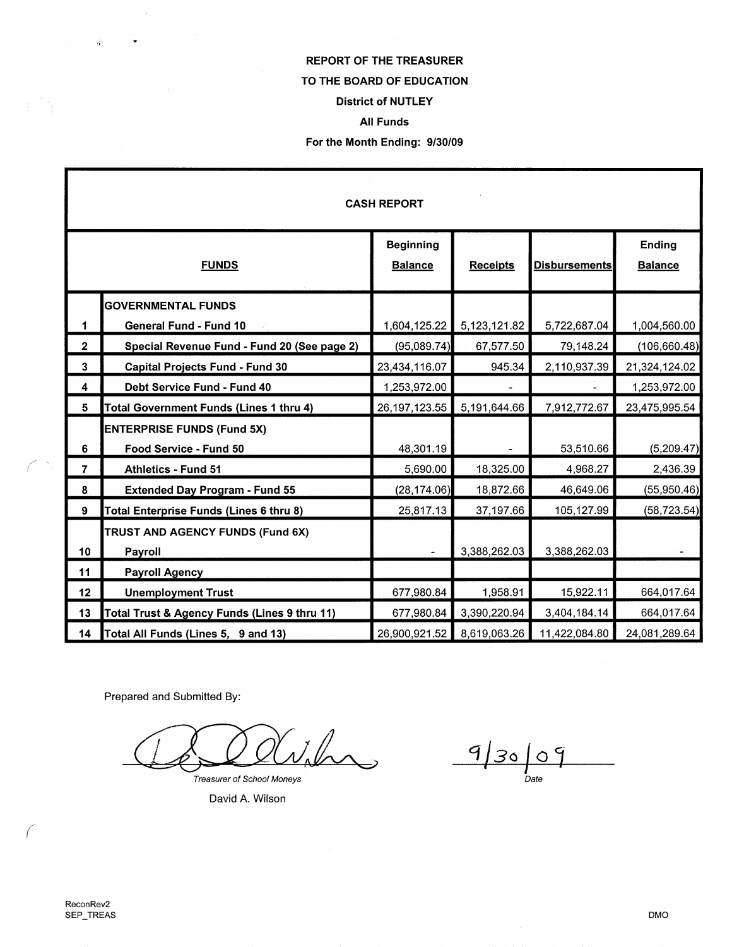# REPORT OF THE TREASURER TO THE **BOARD** OF EDUCATION District of NUTLEY All Funds

#### For the Month Ending: 9/30/09

| <b>CASH REPORT</b> |                                              |                                    |                 |                      |                          |
|--------------------|----------------------------------------------|------------------------------------|-----------------|----------------------|--------------------------|
| <b>FUNDS</b>       |                                              | <b>Beginning</b><br><b>Balance</b> | <b>Receipts</b> | <b>Disbursements</b> | Ending<br><b>Balance</b> |
|                    | <b>GOVERNMENTAL FUNDS</b>                    |                                    |                 |                      |                          |
| 1                  | <b>General Fund - Fund 10</b>                | 1,604,125.22                       | 5,123,121.82    | 5,722,687.04         | 1,004,560.00             |
| $\overline{2}$     | Special Revenue Fund - Fund 20 (See page 2)  | (95,089.74)                        | 67,577.50       | 79,148.24            | (106, 660.48)            |
| $\mathbf{3}$       | <b>Capital Projects Fund - Fund 30</b>       | 23,434,116.07                      | 945.34          | 2,110,937.39         | 21,324,124.02            |
| 4                  | Debt Service Fund - Fund 40                  | 1,253,972.00                       |                 |                      | 1,253,972.00             |
| 5                  | Total Government Funds (Lines 1 thru 4)      | 26, 197, 123.55                    | 5,191,644.66    | 7,912,772.67         | 23,475,995.54            |
|                    | <b>ENTERPRISE FUNDS (Fund 5X)</b>            |                                    |                 |                      |                          |
| 6                  | Food Service - Fund 50                       | 48,301.19                          |                 | 53,510.66            | (5,209.47)               |
| $\overline{7}$     | <b>Athletics - Fund 51</b>                   | 5,690.00                           | 18,325.00       | 4,968.27             | 2,436.39                 |
| 8                  | <b>Extended Day Program - Fund 55</b>        | (28, 174.06)                       | 18,872.66       | 46,649.06            | (55,950.46)              |
| 9                  | Total Enterprise Funds (Lines 6 thru 8)      | 25,817.13                          | 37,197.66       | 105,127.99           | (58, 723.54)             |
|                    | TRUST AND AGENCY FUNDS (Fund 6X)             |                                    |                 |                      |                          |
| 10                 | Payroll                                      |                                    | 3,388,262.03    | 3,388,262.03         |                          |
| 11                 | <b>Payroll Agency</b>                        |                                    |                 |                      |                          |
| 12                 | <b>Unemployment Trust</b>                    | 677,980.84                         | 1,958.91        | 15,922.11            | 664,017.64               |
| 13                 | Total Trust & Agency Funds (Lines 9 thru 11) | 677,980.84                         | 3,390,220.94    | 3,404,184.14         | 664,017.64               |
| 14                 | Total All Funds (Lines 5, 9 and 13)          | 26,900,921.52                      | 8,619,063.26    | 11,422,084.80        | 24,081,289.64            |

Prepared and Submitted By:

Vilm

Treasurer of School Moneys

David A. Wilson

 $9/30/09$ 

*(* 

*(* '

 $\hat{\vec{a}}$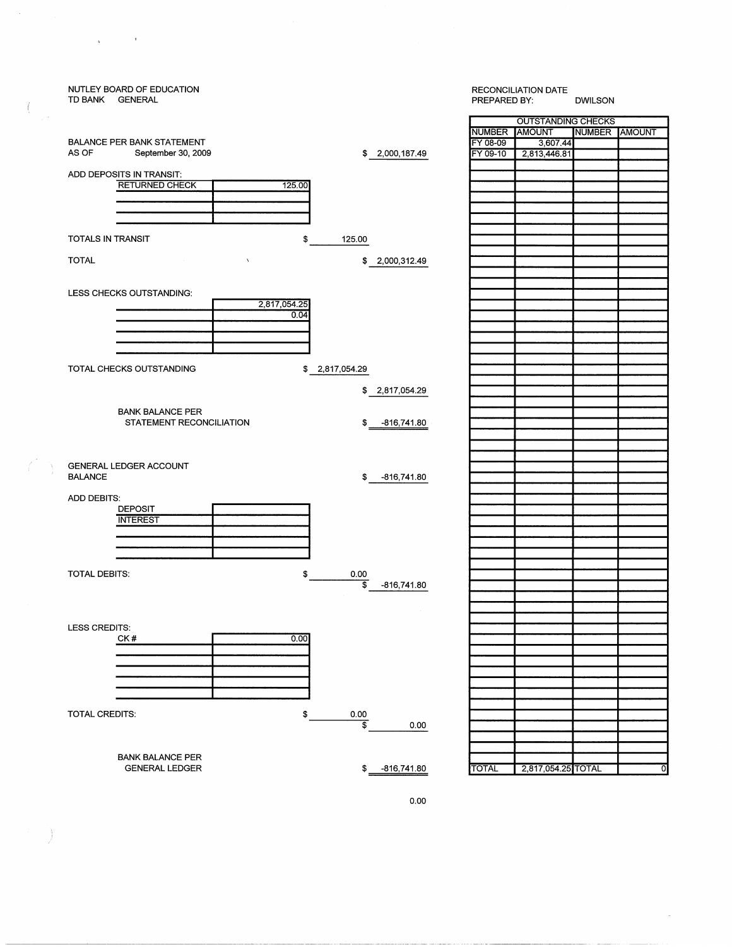

 $\mathbf{v}_\mathrm{eff}$  and  $\mathbf{v}_\mathrm{eff}$ 

Ť

0.00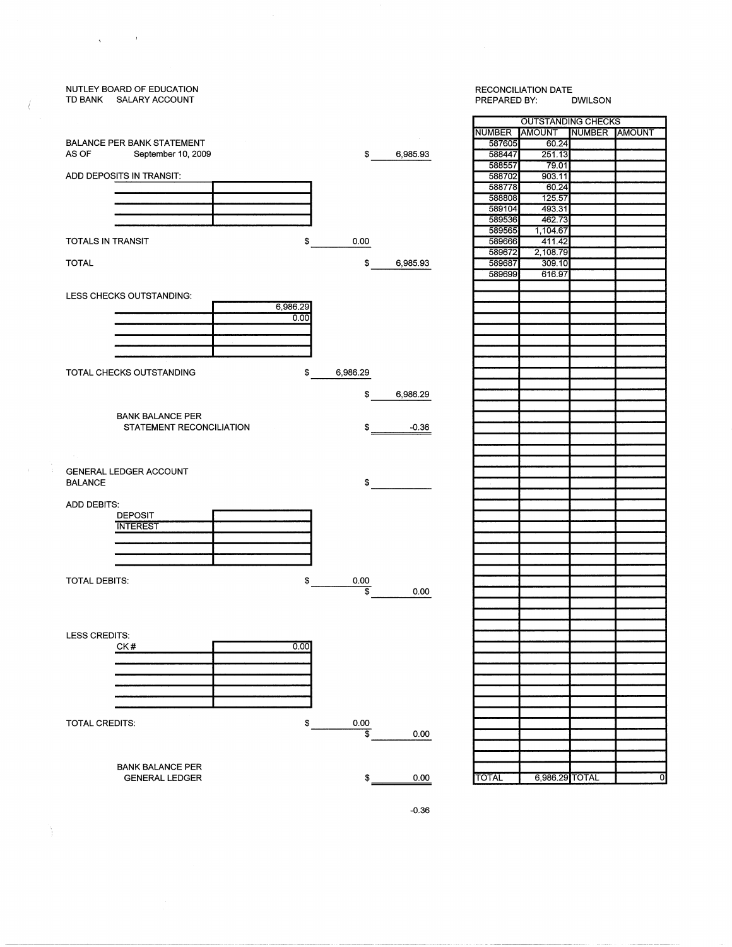## TD BANK SALARY ACCOUNT BALANCE PER BANK STATEMENT AS OF September 10, 2009 ADD DEPOSITS IN TRANSIT: TOTALS IN TRANSIT \$ 0.00 589666 589672 TOTAL \$6,985.93 LESS CHECKS OUTSTANDING:  $\frac{6,986.29}{0.00}$ TOTAL CHECKS OUTSTANDING \$ 6,986.29 \$ 6,986.29 BANK BALANCE PER STATEMENT RECONCILIATION \$ -0.36 **GENERAL LEDGER ACCOUNT** BALANCE  $\pmb{\mathfrak{s}}$ ADD DEBITS· DEPOSIT INTEREST TOTAL DEBITS: \$  $rac{0.00}{$}$ 0.00 LESS CREDITS:  $0.00$ CK# —<br>1 TOTAL CREDITS: \$ 0.00  $\frac{1}{2}$  0.00 BANK BALANCE PER GENERAL LEDGER

NUTLEY BOARD OF EDUCATION

 $\mathcal{L}_{\mathcal{A}}$ 

 $\mathbf{q} = \mathbf{q}$ 

# RECONCILIATION DATE<br>PREPARED BY: DWILSON PREPARED BY: OUTSTANDING CHECKS NUMBER AMOUNT NUMBER AMOUNT 587605 60.24 \$ 6,985.93 588447 251.13<br>588557 79.01 588702 903.11 588778 588808 125.57 589104 493.31<br>589536 462.73 589536<br>589565 1,104.67<br>411.42 589672 2,108.79 589699 616.97 \$ 0.00 TOTAL 6,986.29 TOTAL 0

-0.36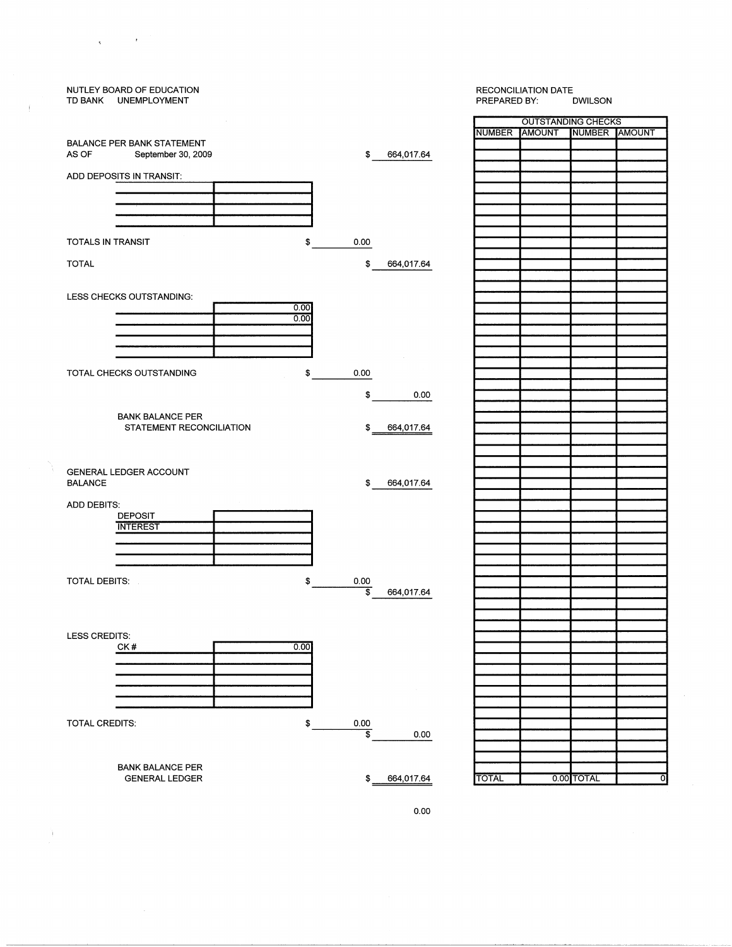### NUTLEY BOARD OF EDUCATION RECONCILIATION DATE<br>PREPARED BY: DWILSON TD BANK UNEMPLOYMENT PREPARED BY: OUTSTANDING CHECKS NUMBER AMOUNT NUMBER AMOUNT BALANCE PER BANK STATEMENT AS OF September 30, 2009 \$ 664,017.64 ADD DEPOSITS IN TRANSIT: TOTALS IN TRANSIT  $\ddot{\boldsymbol{\epsilon}}$ 0.00 TOTAL \$ 664,017.64  $\frac{0.00}{0.00}$ LESS CHECKS OUTSTANDING: TOTAL CHECKS OUTSTANDING \$ 0.00 \$ 0.00 BANK BALANCE PER STATEMENT RECONCILIATION \$ 664,017.64 **GENERAL LEDGER ACCOUNT** BALANCE \$ 664,017.64 ADD DEBITS· DEPOSIT **INTEREST** TOTAL DEBITS: \$  $rac{0.00}{\$}$ \$ 664,017.64 LESS CREDITS:  $0.00$ CK# 0001 TOTAL CREDITS: \$ 0.00  $\frac{1}{2}$  0.00 BANK BALANCE PER GENERAL LEDGER \$ 664,017.64 TOTAL 0.00 TOTAL 0

 $\chi$  and  $\chi$  . In the  $\chi$ 

Ì.

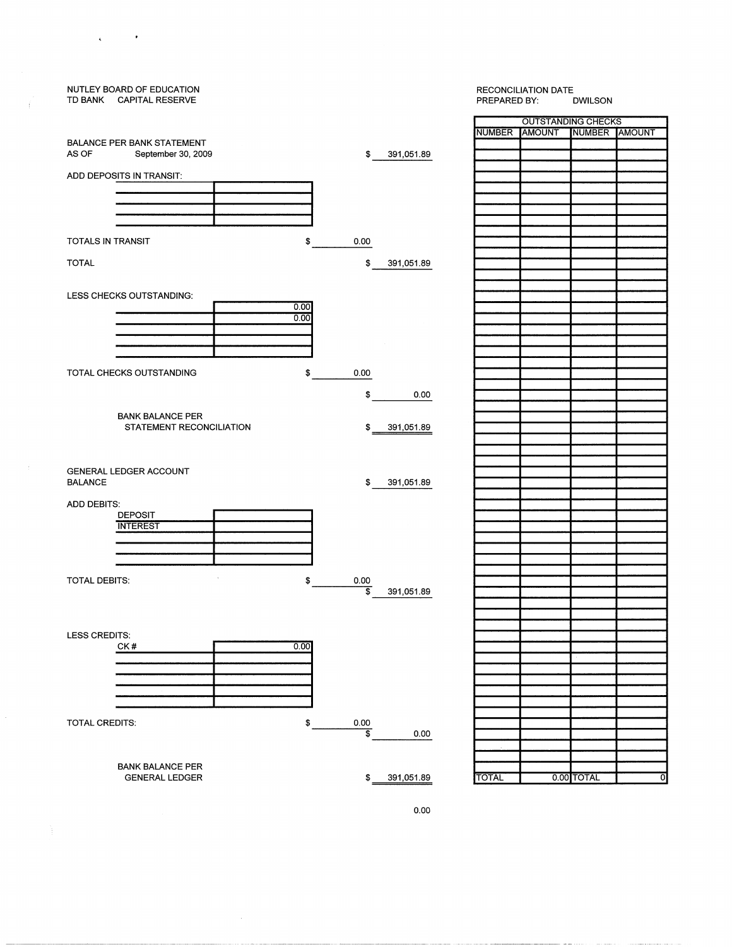### NUTLEY BOARD OF EDUCATION RECONCILIATION DATE<br>PREPARED BY: DWILSON TD BANK CAPITAL RESERVE PREPARED BY: OUTSTANDING CHECKS NUMBER AMOUNT NUMBER AMOUNT BALANCE PER BANK STATEMENT AS OF September 30, 2009 \$ 391,051.89 ADD DEPOSITS IN TRANSIT: TOTALS IN TRANSIT \$ 0.00 TOTAL \$ 391,051.89  $\frac{0.00}{0.00}$ LESS CHECKS OUTSTANDING: TOTAL CHECKS OUTSTANDING \$ 0.00 \$ 0.00 BANK BALANCE PER STATEMENT RECONCILIATION \$ 391,051.89 GENERAL LEDGER ACCOUNT BALANCE \$ 391,051.89 ADD DEBITS: DEPOSIT **INTEREST** TOTAL DEBITS: \$ 0.00 \$ 391,051.89 LESS CREDITS: CK#  $0.00$  $\overline{\phantom{0}}$ TOTAL CREDITS:  $\frac{6}{x}$  0.00  $0.00$ BANK BALANCE PER GENERAL LEDGER \$ 391,051.89 TOTAL 0.00 TOTAL

 $\sim 100$ 

 $\mathbf{q}$ 

0.00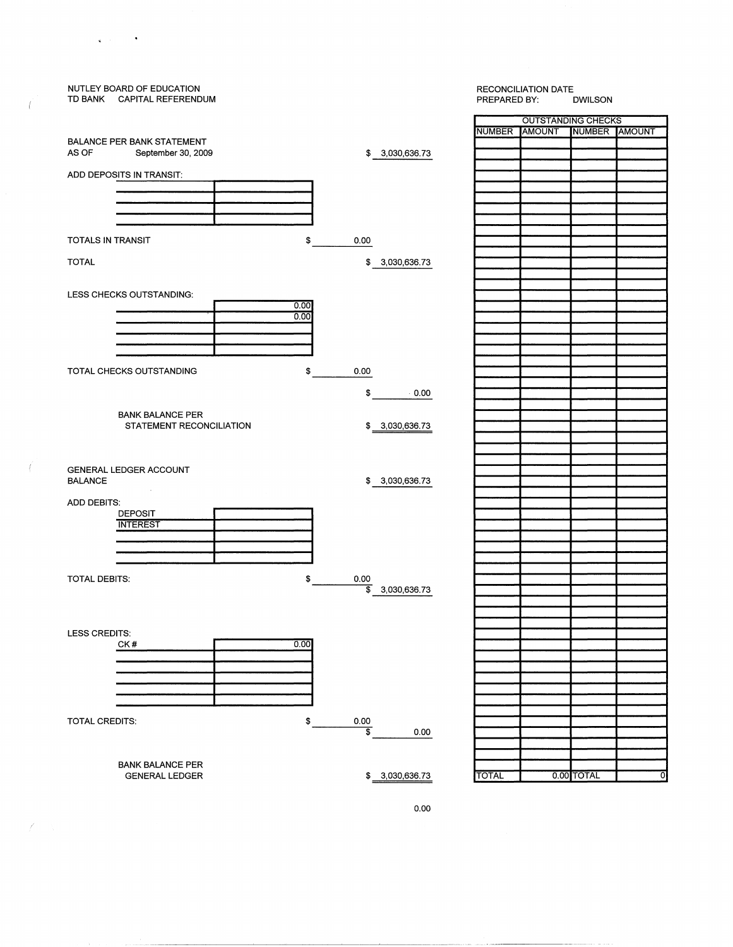# NUTLEY BOARD OF EDUCATION RECONCILIATION DATE TD BANK CAPITAL REFERENDUM OUTSTANDING CHECKS NUMBER AMOUNT NUMBER AMOUNT BALANCE PER BANK STATEMENT AS OF September 30, 2009 \$ 3,030,636.73 ADD DEPOSITS IN TRANSIT: TOTALS IN TRANSIT \$ 0.00 TOTAL \$ 3,030,636.73 LESS CHECKS OUTSTANDING:<br>
10.000<br>
10.000<br>
10.000 TOTAL CHECKS OUTSTANDING  $$$  0.00 \$ 0.00 BANK BALANCE PER STATEMENT RECONCILIATION  $$3,030,636.73$ GENERAL LEDGER ACCOUNT<br>BALANCE \$ 3,030,636.73 ADD DEBITS· DEPOSIT **INTEREST** TOTAL DEBITS:  $\frac{1}{3}$  0.00 \$ 3,030,636.73 LESS CREDITS: CK#  $0.00$ <u>000 |</u> TOTAL CREDITS: \$ 0.00  $\frac{1}{3}$  0.00 BANK BALANCE PER GENERAL LEDGER  $$ 3,030,636.73$  TOTAL 0.00 TOTAL 0.00

 $\mathbf{q}$  ,  $\mathbf{q}$  ,  $\mathbf{q}$  ,  $\mathbf{q}$ 

 $\overline{1}$ 

- (

 $\overline{\mathscr{C}}$ 

0.00